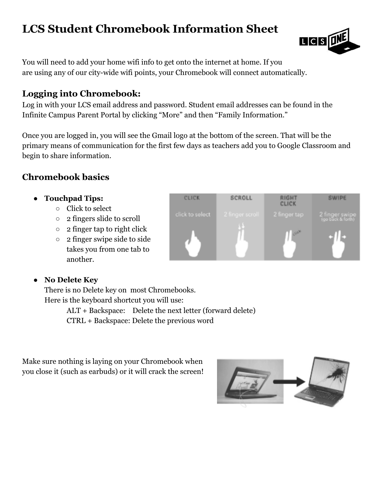# **LCS Student Chromebook Information Sheet**

**LICIS** 

You will need to add your home wifi info to get onto the internet at home. If you are using any of our city-wide wifi points, your Chromebook will connect automatically.

#### **Logging into Chromebook:**

Log in with your LCS email address and password. Student email addresses can be found in the Infinite Campus Parent Portal by clicking "More" and then "Family Information."

Once you are logged in, you will see the Gmail logo at the bottom of the screen. That will be the primary means of communication for the first few days as teachers add you to Google Classroom and begin to share information.

#### **Chromebook basics**

- **● Touchpad Tips:**
	- Click to select
	- 2 fingers slide to scroll
	- $\circ$  2 finger tap to right click
	- 2 finger swipe side to side takes you from one tab to another.
- **● No Delete Key**

There is no Delete key on most Chromebooks. Here is the keyboard shortcut you will use:

ALT + Backspace: Delete the next letter (forward delete)

CTRL + Backspace: Delete the previous word

Make sure nothing is laying on your Chromebook when you close it (such as earbuds) or it will crack the screen!